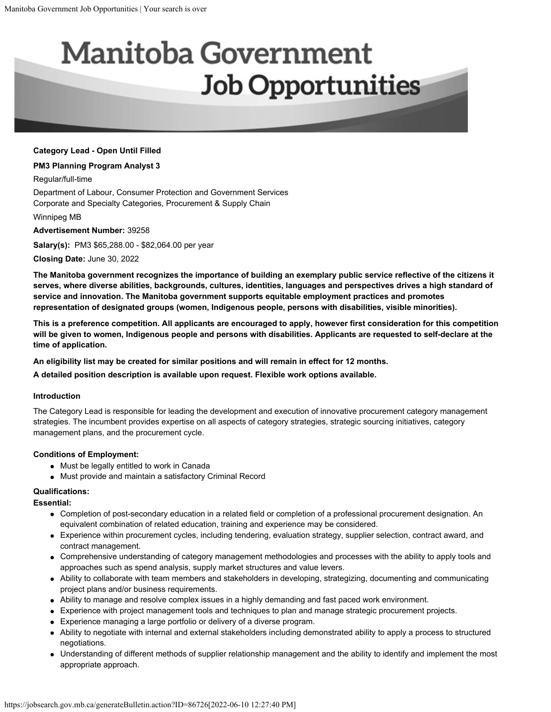# **Manitoba Government Job Opportunities**

# **Category Lead - Open Until Filled**

#### **PM3 Planning Program Analyst 3**

Regular/full-time

Department of Labour, Consumer Protection and Government Services Corporate and Specialty Categories, Procurement & Supply Chain

Winnipeg MB

**Advertisement Number:** 39258

**Salary(s):** PM3 \$65,288.00 - \$82,064.00 per year

**Closing Date:** June 30, 2022

**The Manitoba government recognizes the importance of building an exemplary public service reflective of the citizens it serves, where diverse abilities, backgrounds, cultures, identities, languages and perspectives drives a high standard of service and innovation. The Manitoba government supports equitable employment practices and promotes representation of designated groups (women, Indigenous people, persons with disabilities, visible minorities).**

**This is a preference competition. All applicants are encouraged to apply, however first consideration for this competition will be given to women, Indigenous people and persons with disabilities. Applicants are requested to self-declare at the time of application.**

**An eligibility list may be created for similar positions and will remain in effect for 12 months.**

**A detailed position description is available upon request. Flexible work options available.**

#### **Introduction**

The Category Lead is responsible for leading the development and execution of innovative procurement category management strategies. The incumbent provides expertise on all aspects of category strategies, strategic sourcing initiatives, category management plans, and the procurement cycle.

# **Conditions of Employment:**

- Must be legally entitled to work in Canada
- Must provide and maintain a satisfactory Criminal Record

# **Qualifications:**

**Essential:**

- Completion of post-secondary education in a related field or completion of a professional procurement designation. An equivalent combination of related education, training and experience may be considered.
- Experience within procurement cycles, including tendering, evaluation strategy, supplier selection, contract award, and contract management.
- Comprehensive understanding of category management methodologies and processes with the ability to apply tools and approaches such as spend analysis, supply market structures and value levers.
- Ability to collaborate with team members and stakeholders in developing, strategizing, documenting and communicating project plans and/or business requirements.
- Ability to manage and resolve complex issues in a highly demanding and fast paced work environment.
- Experience with project management tools and techniques to plan and manage strategic procurement projects.
- Experience managing a large portfolio or delivery of a diverse program.
- Ability to negotiate with internal and external stakeholders including demonstrated ability to apply a process to structured negotiations.
- Understanding of different methods of supplier relationship management and the ability to identify and implement the most appropriate approach.